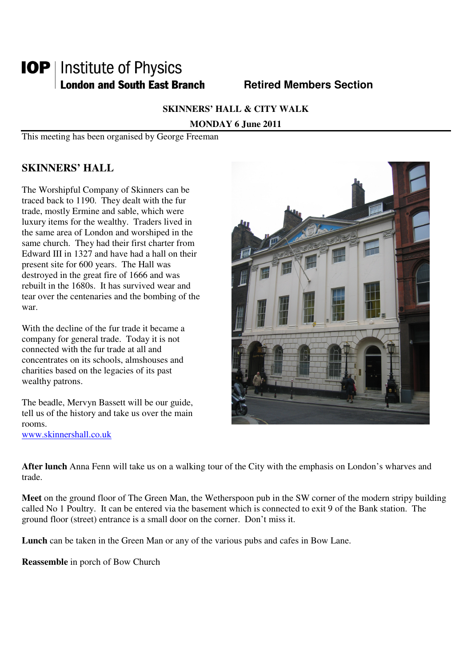# **IOP** | Institute of Physics **London and South East Branch Metired Members Section**

**SKINNERS' HALL & CITY WALK** 

**MONDAY 6 June 2011** 

This meeting has been organised by George Freeman

# **SKINNERS' HALL**

The Worshipful Company of Skinners can be traced back to 1190. They dealt with the fur trade, mostly Ermine and sable, which were luxury items for the wealthy. Traders lived in the same area of London and worshiped in the same church. They had their first charter from Edward III in 1327 and have had a hall on their present site for 600 years. The Hall was destroyed in the great fire of 1666 and was rebuilt in the 1680s. It has survived wear and tear over the centenaries and the bombing of the war.

With the decline of the fur trade it became a company for general trade. Today it is not connected with the fur trade at all and concentrates on its schools, almshouses and charities based on the legacies of its past wealthy patrons.

The beadle, Mervyn Bassett will be our guide, tell us of the history and take us over the main rooms. www.skinnershall.co.uk

**After lunch** Anna Fenn will take us on a walking tour of the City with the emphasis on London's wharves and trade.

**Meet** on the ground floor of The Green Man, the Wetherspoon pub in the SW corner of the modern stripy building called No 1 Poultry. It can be entered via the basement which is connected to exit 9 of the Bank station. The ground floor (street) entrance is a small door on the corner. Don't miss it.

**Lunch** can be taken in the Green Man or any of the various pubs and cafes in Bow Lane.

**Reassemble** in porch of Bow Church